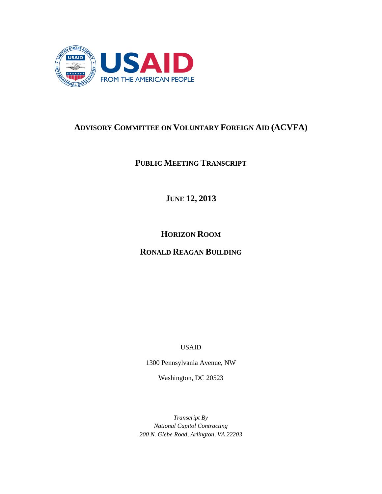

## **ADVISORY COMMITTEE ON VOLUNTARY FOREIGN AID (ACVFA)**

## **PUBLIC MEETING TRANSCRIPT**

**JUNE 12, 2013**

## **HORIZON ROOM**

# **RONALD REAGAN BUILDING**

USAID

1300 Pennsylvania Avenue, NW

Washington, DC 20523

*Transcript By National Capitol Contracting 200 N. Glebe Road, Arlington, VA 22203*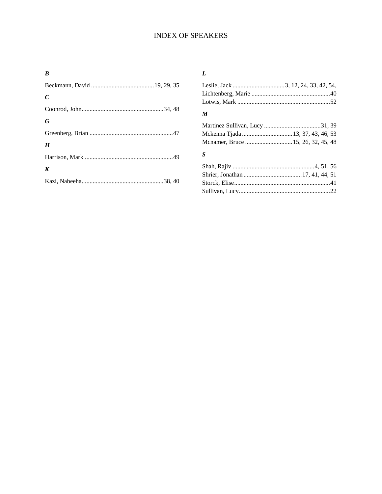### **INDEX OF SPEAKERS**

#### $\boldsymbol{B}$

### $\boldsymbol{L}$

| $\mathcal{C}$ |
|---------------|
|               |
| G             |
|               |
| H             |
|               |
| K             |
|               |

| M                                  |  |
|------------------------------------|--|
|                                    |  |
|                                    |  |
| Mcnamer, Bruce  15, 26, 32, 45, 48 |  |
| S                                  |  |
|                                    |  |
|                                    |  |
|                                    |  |
|                                    |  |
|                                    |  |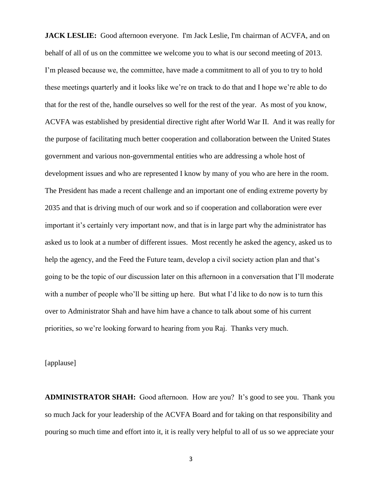**JACK LESLIE:** Good afternoon everyone. I'm Jack Leslie, I'm chairman of ACVFA, and on behalf of all of us on the committee we welcome you to what is our second meeting of 2013. I'm pleased because we, the committee, have made a commitment to all of you to try to hold these meetings quarterly and it looks like we're on track to do that and I hope we're able to do that for the rest of the, handle ourselves so well for the rest of the year. As most of you know, ACVFA was established by presidential directive right after World War II. And it was really for the purpose of facilitating much better cooperation and collaboration between the United States government and various non-governmental entities who are addressing a whole host of development issues and who are represented I know by many of you who are here in the room. The President has made a recent challenge and an important one of ending extreme poverty by 2035 and that is driving much of our work and so if cooperation and collaboration were ever important it's certainly very important now, and that is in large part why the administrator has asked us to look at a number of different issues. Most recently he asked the agency, asked us to help the agency, and the Feed the Future team, develop a civil society action plan and that's going to be the topic of our discussion later on this afternoon in a conversation that I'll moderate with a number of people who'll be sitting up here. But what I'd like to do now is to turn this over to Administrator Shah and have him have a chance to talk about some of his current priorities, so we're looking forward to hearing from you Raj. Thanks very much.

#### [applause]

**ADMINISTRATOR SHAH:** Good afternoon. How are you? It's good to see you. Thank you so much Jack for your leadership of the ACVFA Board and for taking on that responsibility and pouring so much time and effort into it, it is really very helpful to all of us so we appreciate your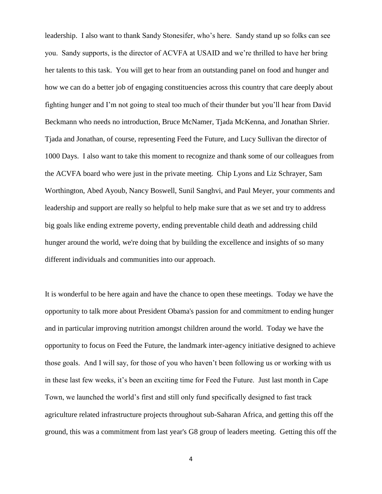leadership. I also want to thank Sandy Stonesifer, who's here. Sandy stand up so folks can see you. Sandy supports, is the director of ACVFA at USAID and we're thrilled to have her bring her talents to this task. You will get to hear from an outstanding panel on food and hunger and how we can do a better job of engaging constituencies across this country that care deeply about fighting hunger and I'm not going to steal too much of their thunder but you'll hear from David Beckmann who needs no introduction, Bruce McNamer, Tjada McKenna, and Jonathan Shrier. Tjada and Jonathan, of course, representing Feed the Future, and Lucy Sullivan the director of 1000 Days. I also want to take this moment to recognize and thank some of our colleagues from the ACVFA board who were just in the private meeting. Chip Lyons and Liz Schrayer, Sam Worthington, Abed Ayoub, Nancy Boswell, Sunil Sanghvi, and Paul Meyer, your comments and leadership and support are really so helpful to help make sure that as we set and try to address big goals like ending extreme poverty, ending preventable child death and addressing child hunger around the world, we're doing that by building the excellence and insights of so many different individuals and communities into our approach.

It is wonderful to be here again and have the chance to open these meetings. Today we have the opportunity to talk more about President Obama's passion for and commitment to ending hunger and in particular improving nutrition amongst children around the world. Today we have the opportunity to focus on Feed the Future, the landmark inter-agency initiative designed to achieve those goals. And I will say, for those of you who haven't been following us or working with us in these last few weeks, it's been an exciting time for Feed the Future. Just last month in Cape Town, we launched the world's first and still only fund specifically designed to fast track agriculture related infrastructure projects throughout sub-Saharan Africa, and getting this off the ground, this was a commitment from last year's G8 group of leaders meeting. Getting this off the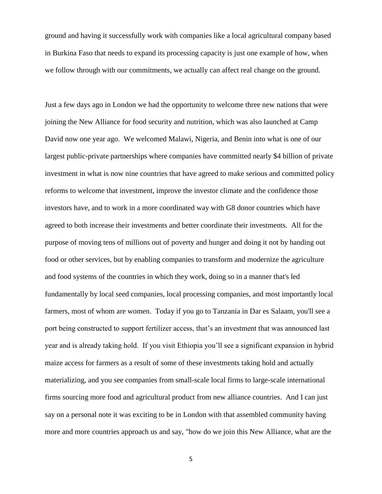ground and having it successfully work with companies like a local agricultural company based in Burkina Faso that needs to expand its processing capacity is just one example of how, when we follow through with our commitments, we actually can affect real change on the ground.

Just a few days ago in London we had the opportunity to welcome three new nations that were joining the New Alliance for food security and nutrition, which was also launched at Camp David now one year ago. We welcomed Malawi, Nigeria, and Benin into what is one of our largest public-private partnerships where companies have committed nearly \$4 billion of private investment in what is now nine countries that have agreed to make serious and committed policy reforms to welcome that investment, improve the investor climate and the confidence those investors have, and to work in a more coordinated way with G8 donor countries which have agreed to both increase their investments and better coordinate their investments. All for the purpose of moving tens of millions out of poverty and hunger and doing it not by handing out food or other services, but by enabling companies to transform and modernize the agriculture and food systems of the countries in which they work, doing so in a manner that's led fundamentally by local seed companies, local processing companies, and most importantly local farmers, most of whom are women. Today if you go to Tanzania in Dar es Salaam, you'll see a port being constructed to support fertilizer access, that's an investment that was announced last year and is already taking hold. If you visit Ethiopia you'll see a significant expansion in hybrid maize access for farmers as a result of some of these investments taking hold and actually materializing, and you see companies from small-scale local firms to large-scale international firms sourcing more food and agricultural product from new alliance countries. And I can just say on a personal note it was exciting to be in London with that assembled community having more and more countries approach us and say, "how do we join this New Alliance, what are the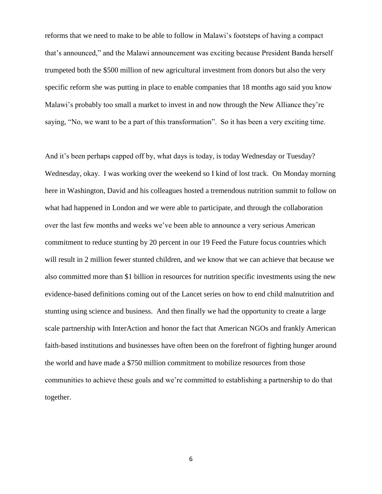reforms that we need to make to be able to follow in Malawi's footsteps of having a compact that's announced," and the Malawi announcement was exciting because President Banda herself trumpeted both the \$500 million of new agricultural investment from donors but also the very specific reform she was putting in place to enable companies that 18 months ago said you know Malawi's probably too small a market to invest in and now through the New Alliance they're saying, "No, we want to be a part of this transformation". So it has been a very exciting time.

And it's been perhaps capped off by, what days is today, is today Wednesday or Tuesday? Wednesday, okay. I was working over the weekend so I kind of lost track. On Monday morning here in Washington, David and his colleagues hosted a tremendous nutrition summit to follow on what had happened in London and we were able to participate, and through the collaboration over the last few months and weeks we've been able to announce a very serious American commitment to reduce stunting by 20 percent in our 19 Feed the Future focus countries which will result in 2 million fewer stunted children, and we know that we can achieve that because we also committed more than \$1 billion in resources for nutrition specific investments using the new evidence-based definitions coming out of the Lancet series on how to end child malnutrition and stunting using science and business. And then finally we had the opportunity to create a large scale partnership with InterAction and honor the fact that American NGOs and frankly American faith-based institutions and businesses have often been on the forefront of fighting hunger around the world and have made a \$750 million commitment to mobilize resources from those communities to achieve these goals and we're committed to establishing a partnership to do that together.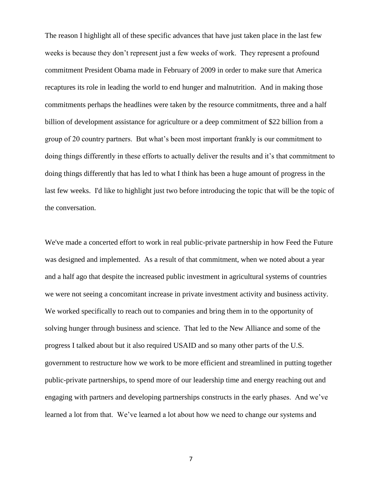The reason I highlight all of these specific advances that have just taken place in the last few weeks is because they don't represent just a few weeks of work. They represent a profound commitment President Obama made in February of 2009 in order to make sure that America recaptures its role in leading the world to end hunger and malnutrition. And in making those commitments perhaps the headlines were taken by the resource commitments, three and a half billion of development assistance for agriculture or a deep commitment of \$22 billion from a group of 20 country partners. But what's been most important frankly is our commitment to doing things differently in these efforts to actually deliver the results and it's that commitment to doing things differently that has led to what I think has been a huge amount of progress in the last few weeks. I'd like to highlight just two before introducing the topic that will be the topic of the conversation.

We've made a concerted effort to work in real public-private partnership in how Feed the Future was designed and implemented. As a result of that commitment, when we noted about a year and a half ago that despite the increased public investment in agricultural systems of countries we were not seeing a concomitant increase in private investment activity and business activity. We worked specifically to reach out to companies and bring them in to the opportunity of solving hunger through business and science. That led to the New Alliance and some of the progress I talked about but it also required USAID and so many other parts of the U.S. government to restructure how we work to be more efficient and streamlined in putting together public-private partnerships, to spend more of our leadership time and energy reaching out and engaging with partners and developing partnerships constructs in the early phases. And we've learned a lot from that. We've learned a lot about how we need to change our systems and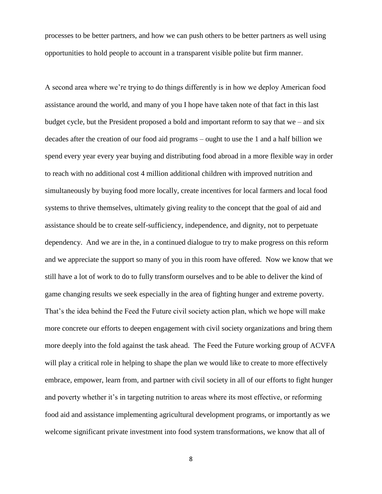processes to be better partners, and how we can push others to be better partners as well using opportunities to hold people to account in a transparent visible polite but firm manner.

A second area where we're trying to do things differently is in how we deploy American food assistance around the world, and many of you I hope have taken note of that fact in this last budget cycle, but the President proposed a bold and important reform to say that we – and six decades after the creation of our food aid programs – ought to use the 1 and a half billion we spend every year every year buying and distributing food abroad in a more flexible way in order to reach with no additional cost 4 million additional children with improved nutrition and simultaneously by buying food more locally, create incentives for local farmers and local food systems to thrive themselves, ultimately giving reality to the concept that the goal of aid and assistance should be to create self-sufficiency, independence, and dignity, not to perpetuate dependency. And we are in the, in a continued dialogue to try to make progress on this reform and we appreciate the support so many of you in this room have offered. Now we know that we still have a lot of work to do to fully transform ourselves and to be able to deliver the kind of game changing results we seek especially in the area of fighting hunger and extreme poverty. That's the idea behind the Feed the Future civil society action plan, which we hope will make more concrete our efforts to deepen engagement with civil society organizations and bring them more deeply into the fold against the task ahead. The Feed the Future working group of ACVFA will play a critical role in helping to shape the plan we would like to create to more effectively embrace, empower, learn from, and partner with civil society in all of our efforts to fight hunger and poverty whether it's in targeting nutrition to areas where its most effective, or reforming food aid and assistance implementing agricultural development programs, or importantly as we welcome significant private investment into food system transformations, we know that all of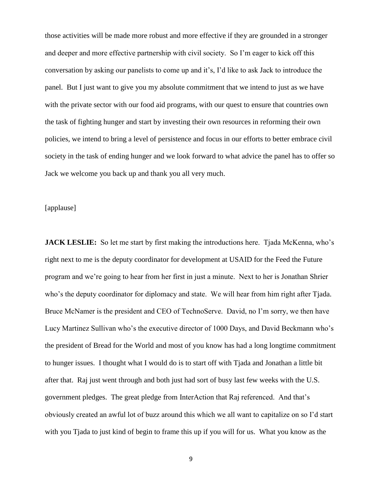those activities will be made more robust and more effective if they are grounded in a stronger and deeper and more effective partnership with civil society. So I'm eager to kick off this conversation by asking our panelists to come up and it's, I'd like to ask Jack to introduce the panel. But I just want to give you my absolute commitment that we intend to just as we have with the private sector with our food aid programs, with our quest to ensure that countries own the task of fighting hunger and start by investing their own resources in reforming their own policies, we intend to bring a level of persistence and focus in our efforts to better embrace civil society in the task of ending hunger and we look forward to what advice the panel has to offer so Jack we welcome you back up and thank you all very much.

[applause]

**JACK LESLIE:** So let me start by first making the introductions here. Tiada McKenna, who's right next to me is the deputy coordinator for development at USAID for the Feed the Future program and we're going to hear from her first in just a minute. Next to her is Jonathan Shrier who's the deputy coordinator for diplomacy and state. We will hear from him right after Tjada. Bruce McNamer is the president and CEO of TechnoServe. David, no I'm sorry, we then have Lucy Martinez Sullivan who's the executive director of 1000 Days, and David Beckmann who's the president of Bread for the World and most of you know has had a long longtime commitment to hunger issues. I thought what I would do is to start off with Tjada and Jonathan a little bit after that. Raj just went through and both just had sort of busy last few weeks with the U.S. government pledges. The great pledge from InterAction that Raj referenced. And that's obviously created an awful lot of buzz around this which we all want to capitalize on so I'd start with you Tjada to just kind of begin to frame this up if you will for us. What you know as the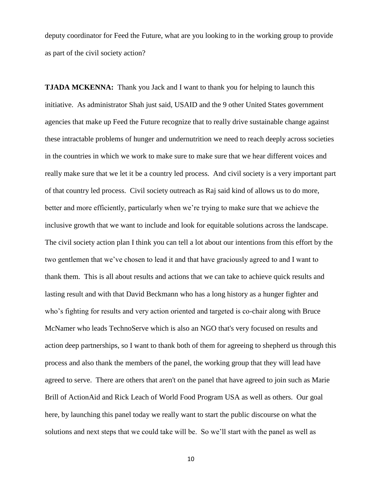deputy coordinator for Feed the Future, what are you looking to in the working group to provide as part of the civil society action?

**TJADA MCKENNA:** Thank you Jack and I want to thank you for helping to launch this initiative. As administrator Shah just said, USAID and the 9 other United States government agencies that make up Feed the Future recognize that to really drive sustainable change against these intractable problems of hunger and undernutrition we need to reach deeply across societies in the countries in which we work to make sure to make sure that we hear different voices and really make sure that we let it be a country led process. And civil society is a very important part of that country led process. Civil society outreach as Raj said kind of allows us to do more, better and more efficiently, particularly when we're trying to make sure that we achieve the inclusive growth that we want to include and look for equitable solutions across the landscape. The civil society action plan I think you can tell a lot about our intentions from this effort by the two gentlemen that we've chosen to lead it and that have graciously agreed to and I want to thank them. This is all about results and actions that we can take to achieve quick results and lasting result and with that David Beckmann who has a long history as a hunger fighter and who's fighting for results and very action oriented and targeted is co-chair along with Bruce McNamer who leads TechnoServe which is also an NGO that's very focused on results and action deep partnerships, so I want to thank both of them for agreeing to shepherd us through this process and also thank the members of the panel, the working group that they will lead have agreed to serve. There are others that aren't on the panel that have agreed to join such as Marie Brill of ActionAid and Rick Leach of World Food Program USA as well as others. Our goal here, by launching this panel today we really want to start the public discourse on what the solutions and next steps that we could take will be. So we'll start with the panel as well as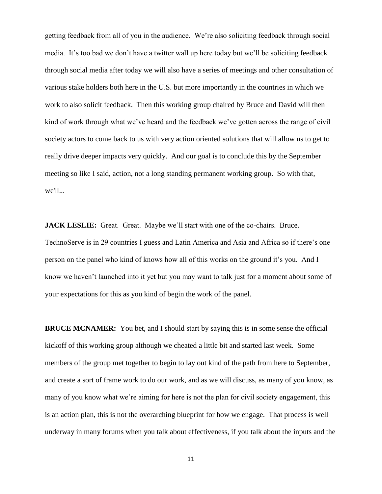getting feedback from all of you in the audience. We're also soliciting feedback through social media. It's too bad we don't have a twitter wall up here today but we'll be soliciting feedback through social media after today we will also have a series of meetings and other consultation of various stake holders both here in the U.S. but more importantly in the countries in which we work to also solicit feedback. Then this working group chaired by Bruce and David will then kind of work through what we've heard and the feedback we've gotten across the range of civil society actors to come back to us with very action oriented solutions that will allow us to get to really drive deeper impacts very quickly. And our goal is to conclude this by the September meeting so like I said, action, not a long standing permanent working group. So with that, we'll...

**JACK LESLIE:** Great. Great. Maybe we'll start with one of the co-chairs. Bruce. TechnoServe is in 29 countries I guess and Latin America and Asia and Africa so if there's one person on the panel who kind of knows how all of this works on the ground it's you. And I know we haven't launched into it yet but you may want to talk just for a moment about some of your expectations for this as you kind of begin the work of the panel.

**BRUCE MCNAMER:** You bet, and I should start by saying this is in some sense the official kickoff of this working group although we cheated a little bit and started last week. Some members of the group met together to begin to lay out kind of the path from here to September, and create a sort of frame work to do our work, and as we will discuss, as many of you know, as many of you know what we're aiming for here is not the plan for civil society engagement, this is an action plan, this is not the overarching blueprint for how we engage. That process is well underway in many forums when you talk about effectiveness, if you talk about the inputs and the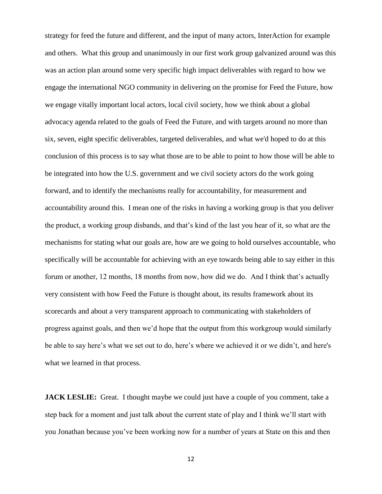strategy for feed the future and different, and the input of many actors, InterAction for example and others. What this group and unanimously in our first work group galvanized around was this was an action plan around some very specific high impact deliverables with regard to how we engage the international NGO community in delivering on the promise for Feed the Future, how we engage vitally important local actors, local civil society, how we think about a global advocacy agenda related to the goals of Feed the Future, and with targets around no more than six, seven, eight specific deliverables, targeted deliverables, and what we'd hoped to do at this conclusion of this process is to say what those are to be able to point to how those will be able to be integrated into how the U.S. government and we civil society actors do the work going forward, and to identify the mechanisms really for accountability, for measurement and accountability around this. I mean one of the risks in having a working group is that you deliver the product, a working group disbands, and that's kind of the last you hear of it, so what are the mechanisms for stating what our goals are, how are we going to hold ourselves accountable, who specifically will be accountable for achieving with an eye towards being able to say either in this forum or another, 12 months, 18 months from now, how did we do. And I think that's actually very consistent with how Feed the Future is thought about, its results framework about its scorecards and about a very transparent approach to communicating with stakeholders of progress against goals, and then we'd hope that the output from this workgroup would similarly be able to say here's what we set out to do, here's where we achieved it or we didn't, and here's what we learned in that process.

**JACK LESLIE:** Great. I thought maybe we could just have a couple of you comment, take a step back for a moment and just talk about the current state of play and I think we'll start with you Jonathan because you've been working now for a number of years at State on this and then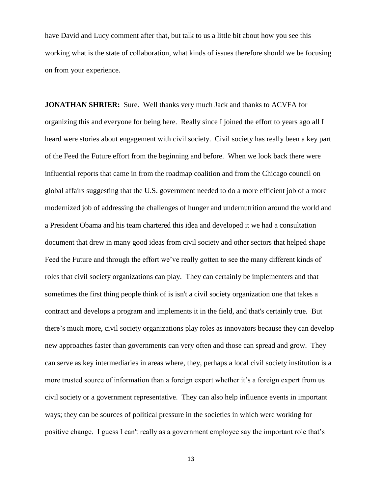have David and Lucy comment after that, but talk to us a little bit about how you see this working what is the state of collaboration, what kinds of issues therefore should we be focusing on from your experience.

**JONATHAN SHRIER:** Sure. Well thanks very much Jack and thanks to ACVFA for organizing this and everyone for being here. Really since I joined the effort to years ago all I heard were stories about engagement with civil society. Civil society has really been a key part of the Feed the Future effort from the beginning and before. When we look back there were influential reports that came in from the roadmap coalition and from the Chicago council on global affairs suggesting that the U.S. government needed to do a more efficient job of a more modernized job of addressing the challenges of hunger and undernutrition around the world and a President Obama and his team chartered this idea and developed it we had a consultation document that drew in many good ideas from civil society and other sectors that helped shape Feed the Future and through the effort we've really gotten to see the many different kinds of roles that civil society organizations can play. They can certainly be implementers and that sometimes the first thing people think of is isn't a civil society organization one that takes a contract and develops a program and implements it in the field, and that's certainly true. But there's much more, civil society organizations play roles as innovators because they can develop new approaches faster than governments can very often and those can spread and grow. They can serve as key intermediaries in areas where, they, perhaps a local civil society institution is a more trusted source of information than a foreign expert whether it's a foreign expert from us civil society or a government representative. They can also help influence events in important ways; they can be sources of political pressure in the societies in which were working for positive change. I guess I can't really as a government employee say the important role that's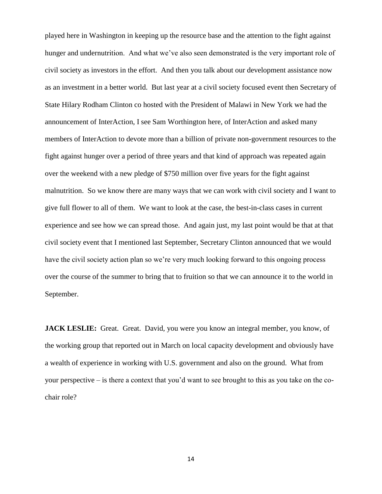played here in Washington in keeping up the resource base and the attention to the fight against hunger and undernutrition. And what we've also seen demonstrated is the very important role of civil society as investors in the effort. And then you talk about our development assistance now as an investment in a better world. But last year at a civil society focused event then Secretary of State Hilary Rodham Clinton co hosted with the President of Malawi in New York we had the announcement of InterAction, I see Sam Worthington here, of InterAction and asked many members of InterAction to devote more than a billion of private non-government resources to the fight against hunger over a period of three years and that kind of approach was repeated again over the weekend with a new pledge of \$750 million over five years for the fight against malnutrition. So we know there are many ways that we can work with civil society and I want to give full flower to all of them. We want to look at the case, the best-in-class cases in current experience and see how we can spread those. And again just, my last point would be that at that civil society event that I mentioned last September, Secretary Clinton announced that we would have the civil society action plan so we're very much looking forward to this ongoing process over the course of the summer to bring that to fruition so that we can announce it to the world in September.

**JACK LESLIE:** Great. Great. David, you were you know an integral member, you know, of the working group that reported out in March on local capacity development and obviously have a wealth of experience in working with U.S. government and also on the ground. What from your perspective – is there a context that you'd want to see brought to this as you take on the cochair role?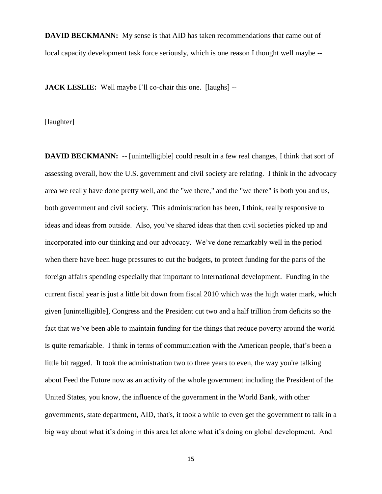**DAVID BECKMANN:** My sense is that AID has taken recommendations that came out of local capacity development task force seriously, which is one reason I thought well maybe --

**JACK LESLIE:** Well maybe I'll co-chair this one. [laughs] --

[laughter]

**DAVID BECKMANN:** -- [unintelligible] could result in a few real changes, I think that sort of assessing overall, how the U.S. government and civil society are relating. I think in the advocacy area we really have done pretty well, and the "we there," and the "we there" is both you and us, both government and civil society. This administration has been, I think, really responsive to ideas and ideas from outside. Also, you've shared ideas that then civil societies picked up and incorporated into our thinking and our advocacy. We've done remarkably well in the period when there have been huge pressures to cut the budgets, to protect funding for the parts of the foreign affairs spending especially that important to international development. Funding in the current fiscal year is just a little bit down from fiscal 2010 which was the high water mark, which given [unintelligible], Congress and the President cut two and a half trillion from deficits so the fact that we've been able to maintain funding for the things that reduce poverty around the world is quite remarkable. I think in terms of communication with the American people, that's been a little bit ragged. It took the administration two to three years to even, the way you're talking about Feed the Future now as an activity of the whole government including the President of the United States, you know, the influence of the government in the World Bank, with other governments, state department, AID, that's, it took a while to even get the government to talk in a big way about what it's doing in this area let alone what it's doing on global development. And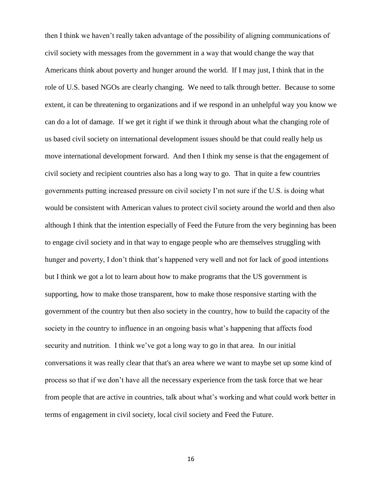then I think we haven't really taken advantage of the possibility of aligning communications of civil society with messages from the government in a way that would change the way that Americans think about poverty and hunger around the world. If I may just, I think that in the role of U.S. based NGOs are clearly changing. We need to talk through better. Because to some extent, it can be threatening to organizations and if we respond in an unhelpful way you know we can do a lot of damage. If we get it right if we think it through about what the changing role of us based civil society on international development issues should be that could really help us move international development forward. And then I think my sense is that the engagement of civil society and recipient countries also has a long way to go. That in quite a few countries governments putting increased pressure on civil society I'm not sure if the U.S. is doing what would be consistent with American values to protect civil society around the world and then also although I think that the intention especially of Feed the Future from the very beginning has been to engage civil society and in that way to engage people who are themselves struggling with hunger and poverty, I don't think that's happened very well and not for lack of good intentions but I think we got a lot to learn about how to make programs that the US government is supporting, how to make those transparent, how to make those responsive starting with the government of the country but then also society in the country, how to build the capacity of the society in the country to influence in an ongoing basis what's happening that affects food security and nutrition. I think we've got a long way to go in that area. In our initial conversations it was really clear that that's an area where we want to maybe set up some kind of process so that if we don't have all the necessary experience from the task force that we hear from people that are active in countries, talk about what's working and what could work better in terms of engagement in civil society, local civil society and Feed the Future.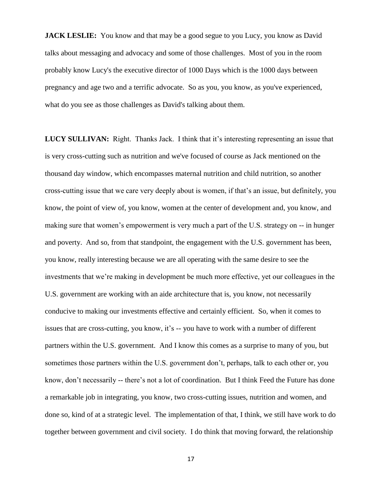**JACK LESLIE:** You know and that may be a good segue to you Lucy, you know as David talks about messaging and advocacy and some of those challenges. Most of you in the room probably know Lucy's the executive director of 1000 Days which is the 1000 days between pregnancy and age two and a terrific advocate. So as you, you know, as you've experienced, what do you see as those challenges as David's talking about them.

**LUCY SULLIVAN:** Right. Thanks Jack. I think that it's interesting representing an issue that is very cross-cutting such as nutrition and we've focused of course as Jack mentioned on the thousand day window, which encompasses maternal nutrition and child nutrition, so another cross-cutting issue that we care very deeply about is women, if that's an issue, but definitely, you know, the point of view of, you know, women at the center of development and, you know, and making sure that women's empowerment is very much a part of the U.S. strategy on -- in hunger and poverty. And so, from that standpoint, the engagement with the U.S. government has been, you know, really interesting because we are all operating with the same desire to see the investments that we're making in development be much more effective, yet our colleagues in the U.S. government are working with an aide architecture that is, you know, not necessarily conducive to making our investments effective and certainly efficient. So, when it comes to issues that are cross-cutting, you know, it's -- you have to work with a number of different partners within the U.S. government. And I know this comes as a surprise to many of you, but sometimes those partners within the U.S. government don't, perhaps, talk to each other or, you know, don't necessarily -- there's not a lot of coordination. But I think Feed the Future has done a remarkable job in integrating, you know, two cross-cutting issues, nutrition and women, and done so, kind of at a strategic level. The implementation of that, I think, we still have work to do together between government and civil society. I do think that moving forward, the relationship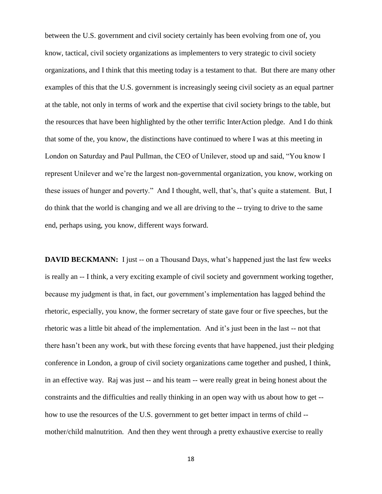between the U.S. government and civil society certainly has been evolving from one of, you know, tactical, civil society organizations as implementers to very strategic to civil society organizations, and I think that this meeting today is a testament to that. But there are many other examples of this that the U.S. government is increasingly seeing civil society as an equal partner at the table, not only in terms of work and the expertise that civil society brings to the table, but the resources that have been highlighted by the other terrific InterAction pledge. And I do think that some of the, you know, the distinctions have continued to where I was at this meeting in London on Saturday and Paul Pullman, the CEO of Unilever, stood up and said, "You know I represent Unilever and we're the largest non-governmental organization, you know, working on these issues of hunger and poverty." And I thought, well, that's, that's quite a statement. But, I do think that the world is changing and we all are driving to the -- trying to drive to the same end, perhaps using, you know, different ways forward.

**DAVID BECKMANN:** I just -- on a Thousand Days, what's happened just the last few weeks is really an -- I think, a very exciting example of civil society and government working together, because my judgment is that, in fact, our government's implementation has lagged behind the rhetoric, especially, you know, the former secretary of state gave four or five speeches, but the rhetoric was a little bit ahead of the implementation. And it's just been in the last -- not that there hasn't been any work, but with these forcing events that have happened, just their pledging conference in London, a group of civil society organizations came together and pushed, I think, in an effective way. Raj was just -- and his team -- were really great in being honest about the constraints and the difficulties and really thinking in an open way with us about how to get - how to use the resources of the U.S. government to get better impact in terms of child - mother/child malnutrition. And then they went through a pretty exhaustive exercise to really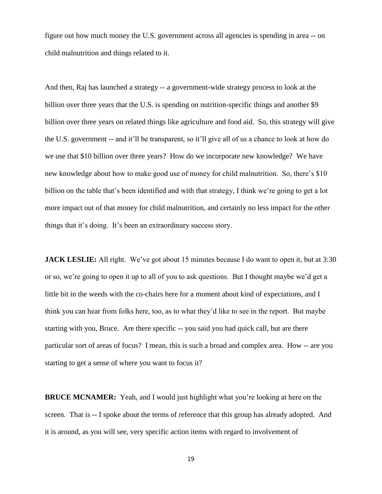figure out how much money the U.S. government across all agencies is spending in area -- on child malnutrition and things related to it.

And then, Raj has launched a strategy -- a government-wide strategy process to look at the billion over three years that the U.S. is spending on nutrition-specific things and another \$9 billion over three years on related things like agriculture and food aid. So, this strategy will give the U.S. government -- and it'll be transparent, so it'll give all of us a chance to look at how do we use that \$10 billion over three years? How do we incorporate new knowledge? We have new knowledge about how to make good use of money for child malnutrition. So, there's \$10 billion on the table that's been identified and with that strategy, I think we're going to get a lot more impact out of that money for child malnutrition, and certainly no less impact for the other things that it's doing. It's been an extraordinary success story.

**JACK LESLIE:** All right. We've got about 15 minutes because I do want to open it, but at 3:30 or so, we're going to open it up to all of you to ask questions. But I thought maybe we'd get a little bit in the weeds with the co-chairs here for a moment about kind of expectations, and I think you can hear from folks here, too, as to what they'd like to see in the report. But maybe starting with you, Bruce. Are there specific -- you said you had quick call, but are there particular sort of areas of focus? I mean, this is such a broad and complex area. How -- are you starting to get a sense of where you want to focus it?

**BRUCE MCNAMER:** Yeah, and I would just highlight what you're looking at here on the screen. That is -- I spoke about the terms of reference that this group has already adopted. And it is around, as you will see, very specific action items with regard to involvement of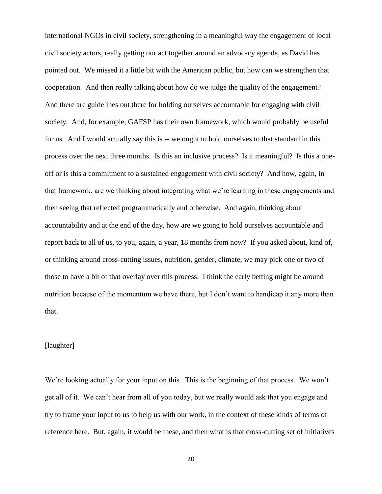international NGOs in civil society, strengthening in a meaningful way the engagement of local civil society actors, really getting our act together around an advocacy agenda, as David has pointed out. We missed it a little bit with the American public, but how can we strengthen that cooperation. And then really talking about how do we judge the quality of the engagement? And there are guidelines out there for holding ourselves accountable for engaging with civil society. And, for example, GAFSP has their own framework, which would probably be useful for us. And I would actually say this is -- we ought to hold ourselves to that standard in this process over the next three months. Is this an inclusive process? Is it meaningful? Is this a oneoff or is this a commitment to a sustained engagement with civil society? And how, again, in that framework, are we thinking about integrating what we're learning in these engagements and then seeing that reflected programmatically and otherwise. And again, thinking about accountability and at the end of the day, how are we going to hold ourselves accountable and report back to all of us, to you, again, a year, 18 months from now? If you asked about, kind of, or thinking around cross-cutting issues, nutrition, gender, climate, we may pick one or two of those to have a bit of that overlay over this process. I think the early betting might be around nutrition because of the momentum we have there, but I don't want to handicap it any more than that.

#### [laughter]

We're looking actually for your input on this. This is the beginning of that process. We won't get all of it. We can't hear from all of you today, but we really would ask that you engage and try to frame your input to us to help us with our work, in the context of these kinds of terms of reference here. But, again, it would be these, and then what is that cross-cutting set of initiatives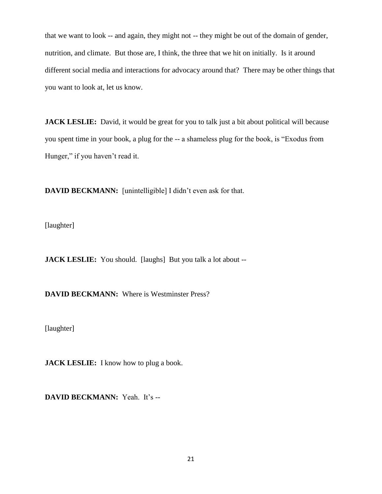that we want to look -- and again, they might not -- they might be out of the domain of gender, nutrition, and climate. But those are, I think, the three that we hit on initially. Is it around different social media and interactions for advocacy around that? There may be other things that you want to look at, let us know.

**JACK LESLIE:** David, it would be great for you to talk just a bit about political will because you spent time in your book, a plug for the -- a shameless plug for the book, is "Exodus from Hunger," if you haven't read it.

**DAVID BECKMANN:** [unintelligible] I didn't even ask for that.

[laughter]

**JACK LESLIE:** You should. [laughs] But you talk a lot about --

**DAVID BECKMANN:** Where is Westminster Press?

[laughter]

**JACK LESLIE:** I know how to plug a book.

**DAVID BECKMANN:** Yeah. It's --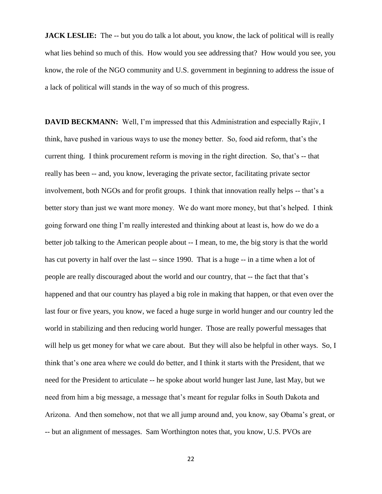**JACK LESLIE:** The -- but you do talk a lot about, you know, the lack of political will is really what lies behind so much of this. How would you see addressing that? How would you see, you know, the role of the NGO community and U.S. government in beginning to address the issue of a lack of political will stands in the way of so much of this progress.

**DAVID BECKMANN:** Well, I'm impressed that this Administration and especially Rajiv, I think, have pushed in various ways to use the money better. So, food aid reform, that's the current thing. I think procurement reform is moving in the right direction. So, that's -- that really has been -- and, you know, leveraging the private sector, facilitating private sector involvement, both NGOs and for profit groups. I think that innovation really helps -- that's a better story than just we want more money. We do want more money, but that's helped. I think going forward one thing I'm really interested and thinking about at least is, how do we do a better job talking to the American people about -- I mean, to me, the big story is that the world has cut poverty in half over the last -- since 1990. That is a huge -- in a time when a lot of people are really discouraged about the world and our country, that -- the fact that that's happened and that our country has played a big role in making that happen, or that even over the last four or five years, you know, we faced a huge surge in world hunger and our country led the world in stabilizing and then reducing world hunger. Those are really powerful messages that will help us get money for what we care about. But they will also be helpful in other ways. So, I think that's one area where we could do better, and I think it starts with the President, that we need for the President to articulate -- he spoke about world hunger last June, last May, but we need from him a big message, a message that's meant for regular folks in South Dakota and Arizona. And then somehow, not that we all jump around and, you know, say Obama's great, or -- but an alignment of messages. Sam Worthington notes that, you know, U.S. PVOs are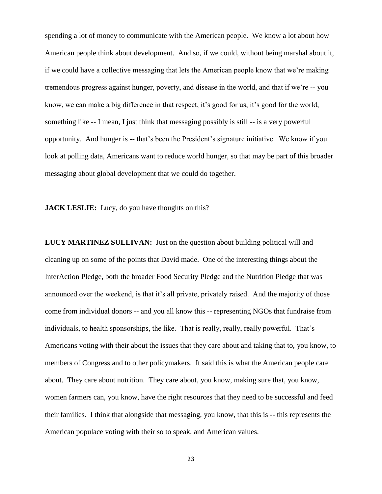spending a lot of money to communicate with the American people. We know a lot about how American people think about development. And so, if we could, without being marshal about it, if we could have a collective messaging that lets the American people know that we're making tremendous progress against hunger, poverty, and disease in the world, and that if we're -- you know, we can make a big difference in that respect, it's good for us, it's good for the world, something like -- I mean, I just think that messaging possibly is still -- is a very powerful opportunity. And hunger is -- that's been the President's signature initiative. We know if you look at polling data, Americans want to reduce world hunger, so that may be part of this broader messaging about global development that we could do together.

**JACK LESLIE:** Lucy, do you have thoughts on this?

**LUCY MARTINEZ SULLIVAN:** Just on the question about building political will and cleaning up on some of the points that David made. One of the interesting things about the InterAction Pledge, both the broader Food Security Pledge and the Nutrition Pledge that was announced over the weekend, is that it's all private, privately raised. And the majority of those come from individual donors -- and you all know this -- representing NGOs that fundraise from individuals, to health sponsorships, the like. That is really, really, really powerful. That's Americans voting with their about the issues that they care about and taking that to, you know, to members of Congress and to other policymakers. It said this is what the American people care about. They care about nutrition. They care about, you know, making sure that, you know, women farmers can, you know, have the right resources that they need to be successful and feed their families. I think that alongside that messaging, you know, that this is -- this represents the American populace voting with their so to speak, and American values.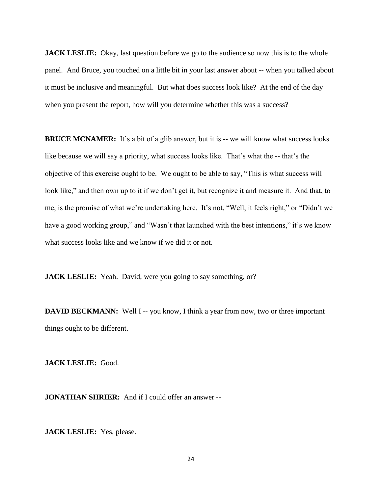**JACK LESLIE:** Okay, last question before we go to the audience so now this is to the whole panel. And Bruce, you touched on a little bit in your last answer about -- when you talked about it must be inclusive and meaningful. But what does success look like? At the end of the day when you present the report, how will you determine whether this was a success?

**BRUCE MCNAMER:** It's a bit of a glib answer, but it is -- we will know what success looks like because we will say a priority, what success looks like. That's what the -- that's the objective of this exercise ought to be. We ought to be able to say, "This is what success will look like," and then own up to it if we don't get it, but recognize it and measure it. And that, to me, is the promise of what we're undertaking here. It's not, "Well, it feels right," or "Didn't we have a good working group," and "Wasn't that launched with the best intentions," it's we know what success looks like and we know if we did it or not.

**JACK LESLIE:** Yeah. David, were you going to say something, or?

**DAVID BECKMANN:** Well I -- you know, I think a year from now, two or three important things ought to be different.

**JACK LESLIE:** Good.

**JONATHAN SHRIER:** And if I could offer an answer --

**JACK LESLIE:** Yes, please.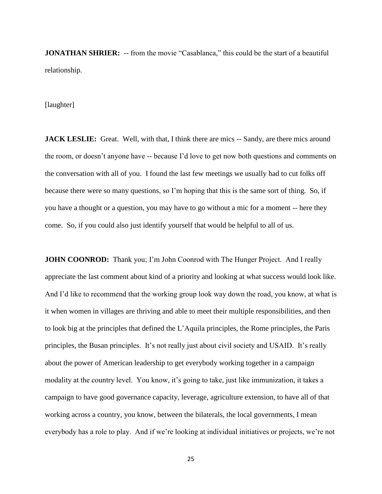**JONATHAN SHRIER:** -- from the movie "Casablanca," this could be the start of a beautiful relationship.

[laughter]

**JACK LESLIE:** Great. Well, with that, I think there are mics -- Sandy, are there mics around the room, or doesn't anyone have -- because I'd love to get now both questions and comments on the conversation with all of you. I found the last few meetings we usually had to cut folks off because there were so many questions, so I'm hoping that this is the same sort of thing. So, if you have a thought or a question, you may have to go without a mic for a moment -- here they come. So, if you could also just identify yourself that would be helpful to all of us.

**JOHN COONROD:** Thank you; I'm John Coonrod with The Hunger Project. And I really appreciate the last comment about kind of a priority and looking at what success would look like. And I'd like to recommend that the working group look way down the road, you know, at what is it when women in villages are thriving and able to meet their multiple responsibilities, and then to look big at the principles that defined the L'Aquila principles, the Rome principles, the Paris principles, the Busan principles. It's not really just about civil society and USAID. It's really about the power of American leadership to get everybody working together in a campaign modality at the country level. You know, it's going to take, just like immunization, it takes a campaign to have good governance capacity, leverage, agriculture extension, to have all of that working across a country, you know, between the bilaterals, the local governments, I mean everybody has a role to play. And if we're looking at individual initiatives or projects, we're not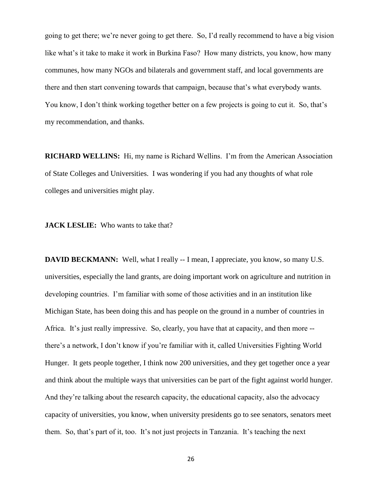going to get there; we're never going to get there. So, I'd really recommend to have a big vision like what's it take to make it work in Burkina Faso? How many districts, you know, how many communes, how many NGOs and bilaterals and government staff, and local governments are there and then start convening towards that campaign, because that's what everybody wants. You know, I don't think working together better on a few projects is going to cut it. So, that's my recommendation, and thanks.

**RICHARD WELLINS:** Hi, my name is Richard Wellins. I'm from the American Association of State Colleges and Universities. I was wondering if you had any thoughts of what role colleges and universities might play.

**JACK LESLIE:** Who wants to take that?

**DAVID BECKMANN:** Well, what I really -- I mean, I appreciate, you know, so many U.S. universities, especially the land grants, are doing important work on agriculture and nutrition in developing countries. I'm familiar with some of those activities and in an institution like Michigan State, has been doing this and has people on the ground in a number of countries in Africa. It's just really impressive. So, clearly, you have that at capacity, and then more - there's a network, I don't know if you're familiar with it, called Universities Fighting World Hunger. It gets people together, I think now 200 universities, and they get together once a year and think about the multiple ways that universities can be part of the fight against world hunger. And they're talking about the research capacity, the educational capacity, also the advocacy capacity of universities, you know, when university presidents go to see senators, senators meet them. So, that's part of it, too. It's not just projects in Tanzania. It's teaching the next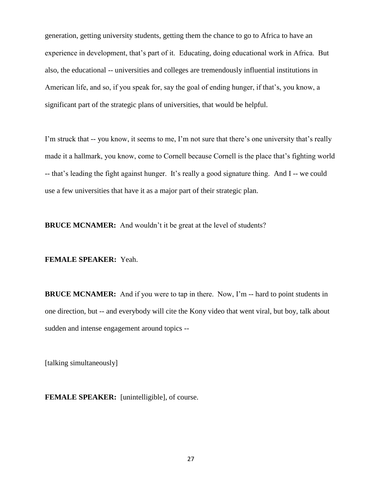generation, getting university students, getting them the chance to go to Africa to have an experience in development, that's part of it. Educating, doing educational work in Africa. But also, the educational -- universities and colleges are tremendously influential institutions in American life, and so, if you speak for, say the goal of ending hunger, if that's, you know, a significant part of the strategic plans of universities, that would be helpful.

I'm struck that -- you know, it seems to me, I'm not sure that there's one university that's really made it a hallmark, you know, come to Cornell because Cornell is the place that's fighting world -- that's leading the fight against hunger. It's really a good signature thing. And I -- we could use a few universities that have it as a major part of their strategic plan.

**BRUCE MCNAMER:** And wouldn't it be great at the level of students?

#### **FEMALE SPEAKER:** Yeah.

**BRUCE MCNAMER:** And if you were to tap in there. Now, I'm -- hard to point students in one direction, but -- and everybody will cite the Kony video that went viral, but boy, talk about sudden and intense engagement around topics --

[talking simultaneously]

**FEMALE SPEAKER:** [unintelligible], of course.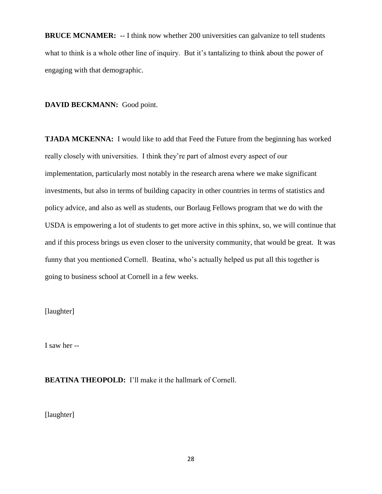**BRUCE MCNAMER:** -- I think now whether 200 universities can galvanize to tell students what to think is a whole other line of inquiry. But it's tantalizing to think about the power of engaging with that demographic.

#### **DAVID BECKMANN:** Good point.

**TJADA MCKENNA:** I would like to add that Feed the Future from the beginning has worked really closely with universities. I think they're part of almost every aspect of our implementation, particularly most notably in the research arena where we make significant investments, but also in terms of building capacity in other countries in terms of statistics and policy advice, and also as well as students, our Borlaug Fellows program that we do with the USDA is empowering a lot of students to get more active in this sphinx, so, we will continue that and if this process brings us even closer to the university community, that would be great. It was funny that you mentioned Cornell. Beatina, who's actually helped us put all this together is going to business school at Cornell in a few weeks.

[laughter]

I saw her --

**BEATINA THEOPOLD:** I'll make it the hallmark of Cornell.

[laughter]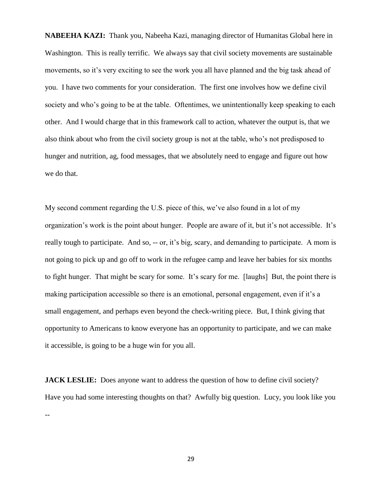**NABEEHA KAZI:** Thank you, Nabeeha Kazi, managing director of Humanitas Global here in Washington. This is really terrific. We always say that civil society movements are sustainable movements, so it's very exciting to see the work you all have planned and the big task ahead of you. I have two comments for your consideration. The first one involves how we define civil society and who's going to be at the table. Oftentimes, we unintentionally keep speaking to each other. And I would charge that in this framework call to action, whatever the output is, that we also think about who from the civil society group is not at the table, who's not predisposed to hunger and nutrition, ag, food messages, that we absolutely need to engage and figure out how we do that.

My second comment regarding the U.S. piece of this, we've also found in a lot of my organization's work is the point about hunger. People are aware of it, but it's not accessible. It's really tough to participate. And so, -- or, it's big, scary, and demanding to participate. A mom is not going to pick up and go off to work in the refugee camp and leave her babies for six months to fight hunger. That might be scary for some. It's scary for me. [laughs] But, the point there is making participation accessible so there is an emotional, personal engagement, even if it's a small engagement, and perhaps even beyond the check-writing piece. But, I think giving that opportunity to Americans to know everyone has an opportunity to participate, and we can make it accessible, is going to be a huge win for you all.

**JACK LESLIE:** Does anyone want to address the question of how to define civil society? Have you had some interesting thoughts on that? Awfully big question. Lucy, you look like you --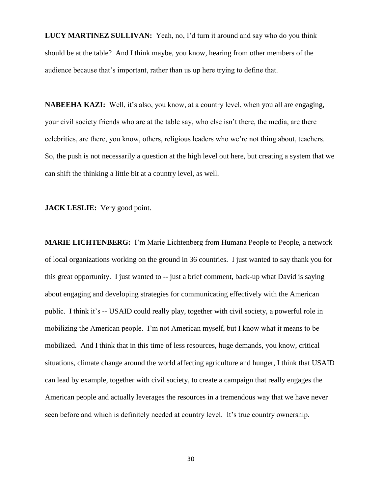**LUCY MARTINEZ SULLIVAN:** Yeah, no, I'd turn it around and say who do you think should be at the table? And I think maybe, you know, hearing from other members of the audience because that's important, rather than us up here trying to define that.

**NABEEHA KAZI:** Well, it's also, you know, at a country level, when you all are engaging, your civil society friends who are at the table say, who else isn't there, the media, are there celebrities, are there, you know, others, religious leaders who we're not thing about, teachers. So, the push is not necessarily a question at the high level out here, but creating a system that we can shift the thinking a little bit at a country level, as well.

**JACK LESLIE:** Very good point.

**MARIE LICHTENBERG:** I'm Marie Lichtenberg from Humana People to People, a network of local organizations working on the ground in 36 countries. I just wanted to say thank you for this great opportunity. I just wanted to -- just a brief comment, back-up what David is saying about engaging and developing strategies for communicating effectively with the American public. I think it's -- USAID could really play, together with civil society, a powerful role in mobilizing the American people. I'm not American myself, but I know what it means to be mobilized. And I think that in this time of less resources, huge demands, you know, critical situations, climate change around the world affecting agriculture and hunger, I think that USAID can lead by example, together with civil society, to create a campaign that really engages the American people and actually leverages the resources in a tremendous way that we have never seen before and which is definitely needed at country level. It's true country ownership.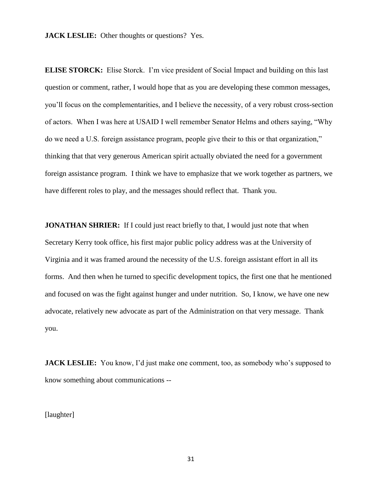**JACK LESLIE:** Other thoughts or questions? Yes.

**ELISE STORCK:** Elise Storck. I'm vice president of Social Impact and building on this last question or comment, rather, I would hope that as you are developing these common messages, you'll focus on the complementarities, and I believe the necessity, of a very robust cross-section of actors. When I was here at USAID I well remember Senator Helms and others saying, "Why do we need a U.S. foreign assistance program, people give their to this or that organization," thinking that that very generous American spirit actually obviated the need for a government foreign assistance program. I think we have to emphasize that we work together as partners, we have different roles to play, and the messages should reflect that. Thank you.

**JONATHAN SHRIER:** If I could just react briefly to that, I would just note that when Secretary Kerry took office, his first major public policy address was at the University of Virginia and it was framed around the necessity of the U.S. foreign assistant effort in all its forms. And then when he turned to specific development topics, the first one that he mentioned and focused on was the fight against hunger and under nutrition. So, I know, we have one new advocate, relatively new advocate as part of the Administration on that very message. Thank you.

**JACK LESLIE:** You know, I'd just make one comment, too, as somebody who's supposed to know something about communications --

[laughter]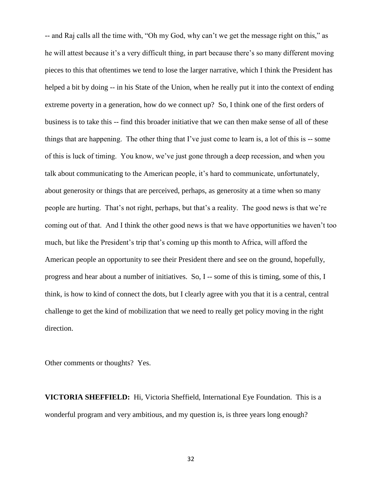-- and Raj calls all the time with, "Oh my God, why can't we get the message right on this," as he will attest because it's a very difficult thing, in part because there's so many different moving pieces to this that oftentimes we tend to lose the larger narrative, which I think the President has helped a bit by doing -- in his State of the Union, when he really put it into the context of ending extreme poverty in a generation, how do we connect up? So, I think one of the first orders of business is to take this -- find this broader initiative that we can then make sense of all of these things that are happening. The other thing that I've just come to learn is, a lot of this is -- some of this is luck of timing. You know, we've just gone through a deep recession, and when you talk about communicating to the American people, it's hard to communicate, unfortunately, about generosity or things that are perceived, perhaps, as generosity at a time when so many people are hurting. That's not right, perhaps, but that's a reality. The good news is that we're coming out of that. And I think the other good news is that we have opportunities we haven't too much, but like the President's trip that's coming up this month to Africa, will afford the American people an opportunity to see their President there and see on the ground, hopefully, progress and hear about a number of initiatives. So, I -- some of this is timing, some of this, I think, is how to kind of connect the dots, but I clearly agree with you that it is a central, central challenge to get the kind of mobilization that we need to really get policy moving in the right direction.

Other comments or thoughts? Yes.

**VICTORIA SHEFFIELD:** Hi, Victoria Sheffield, International Eye Foundation. This is a wonderful program and very ambitious, and my question is, is three years long enough?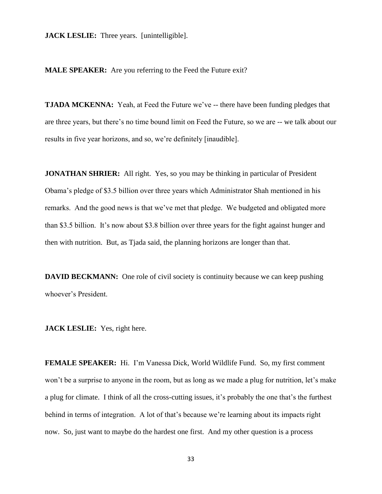**JACK LESLIE:** Three years. [unintelligible].

**MALE SPEAKER:** Are you referring to the Feed the Future exit?

**TJADA MCKENNA:** Yeah, at Feed the Future we've -- there have been funding pledges that are three years, but there's no time bound limit on Feed the Future, so we are -- we talk about our results in five year horizons, and so, we're definitely [inaudible].

**JONATHAN SHRIER:** All right. Yes, so you may be thinking in particular of President Obama's pledge of \$3.5 billion over three years which Administrator Shah mentioned in his remarks. And the good news is that we've met that pledge. We budgeted and obligated more than \$3.5 billion. It's now about \$3.8 billion over three years for the fight against hunger and then with nutrition. But, as Tjada said, the planning horizons are longer than that.

**DAVID BECKMANN:** One role of civil society is continuity because we can keep pushing whoever's President.

**JACK LESLIE:** Yes, right here.

**FEMALE SPEAKER:** Hi. I'm Vanessa Dick, World Wildlife Fund. So, my first comment won't be a surprise to anyone in the room, but as long as we made a plug for nutrition, let's make a plug for climate. I think of all the cross-cutting issues, it's probably the one that's the furthest behind in terms of integration. A lot of that's because we're learning about its impacts right now. So, just want to maybe do the hardest one first. And my other question is a process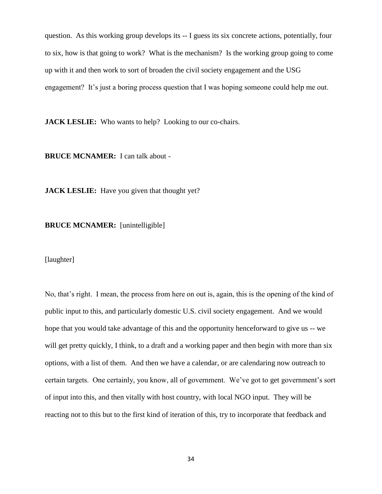question. As this working group develops its -- I guess its six concrete actions, potentially, four to six, how is that going to work? What is the mechanism? Is the working group going to come up with it and then work to sort of broaden the civil society engagement and the USG engagement? It's just a boring process question that I was hoping someone could help me out.

**JACK LESLIE:** Who wants to help? Looking to our co-chairs.

**BRUCE MCNAMER:** I can talk about -

**JACK LESLIE:** Have you given that thought yet?

**BRUCE MCNAMER:** [unintelligible]

[laughter]

No, that's right. I mean, the process from here on out is, again, this is the opening of the kind of public input to this, and particularly domestic U.S. civil society engagement. And we would hope that you would take advantage of this and the opportunity henceforward to give us -- we will get pretty quickly, I think, to a draft and a working paper and then begin with more than six options, with a list of them. And then we have a calendar, or are calendaring now outreach to certain targets. One certainly, you know, all of government. We've got to get government's sort of input into this, and then vitally with host country, with local NGO input. They will be reacting not to this but to the first kind of iteration of this, try to incorporate that feedback and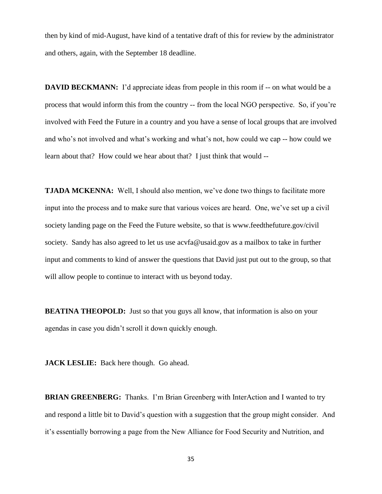then by kind of mid-August, have kind of a tentative draft of this for review by the administrator and others, again, with the September 18 deadline.

**DAVID BECKMANN:** I'd appreciate ideas from people in this room if -- on what would be a process that would inform this from the country -- from the local NGO perspective. So, if you're involved with Feed the Future in a country and you have a sense of local groups that are involved and who's not involved and what's working and what's not, how could we cap -- how could we learn about that? How could we hear about that? I just think that would --

**TJADA MCKENNA:** Well, I should also mention, we've done two things to facilitate more input into the process and to make sure that various voices are heard. One, we've set up a civil society landing page on the Feed the Future website, so that is www.feedthefuture.gov/civil society. Sandy has also agreed to let us use acvfa@usaid.gov as a mailbox to take in further input and comments to kind of answer the questions that David just put out to the group, so that will allow people to continue to interact with us beyond today.

**BEATINA THEOPOLD:** Just so that you guys all know, that information is also on your agendas in case you didn't scroll it down quickly enough.

**JACK LESLIE:** Back here though. Go ahead.

**BRIAN GREENBERG:** Thanks. I'm Brian Greenberg with InterAction and I wanted to try and respond a little bit to David's question with a suggestion that the group might consider. And it's essentially borrowing a page from the New Alliance for Food Security and Nutrition, and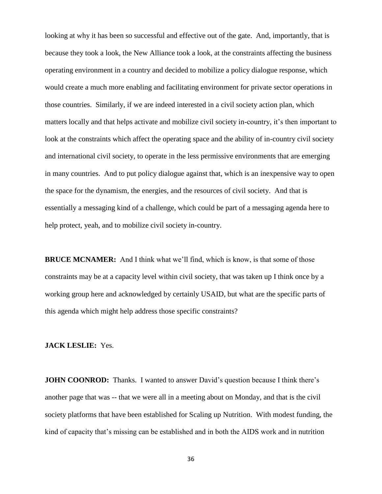looking at why it has been so successful and effective out of the gate. And, importantly, that is because they took a look, the New Alliance took a look, at the constraints affecting the business operating environment in a country and decided to mobilize a policy dialogue response, which would create a much more enabling and facilitating environment for private sector operations in those countries. Similarly, if we are indeed interested in a civil society action plan, which matters locally and that helps activate and mobilize civil society in-country, it's then important to look at the constraints which affect the operating space and the ability of in-country civil society and international civil society, to operate in the less permissive environments that are emerging in many countries. And to put policy dialogue against that, which is an inexpensive way to open the space for the dynamism, the energies, and the resources of civil society. And that is essentially a messaging kind of a challenge, which could be part of a messaging agenda here to help protect, yeah, and to mobilize civil society in-country.

**BRUCE MCNAMER:** And I think what we'll find, which is know, is that some of those constraints may be at a capacity level within civil society, that was taken up I think once by a working group here and acknowledged by certainly USAID, but what are the specific parts of this agenda which might help address those specific constraints?

### **JACK LESLIE:** Yes.

**JOHN COONROD:** Thanks. I wanted to answer David's question because I think there's another page that was -- that we were all in a meeting about on Monday, and that is the civil society platforms that have been established for Scaling up Nutrition. With modest funding, the kind of capacity that's missing can be established and in both the AIDS work and in nutrition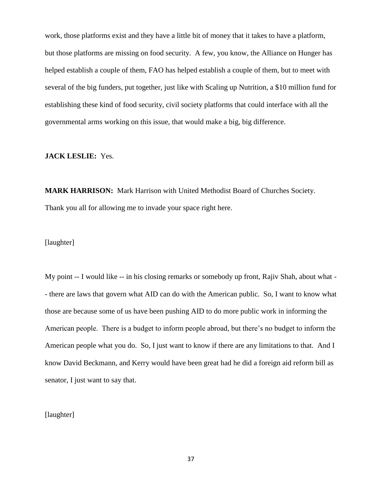work, those platforms exist and they have a little bit of money that it takes to have a platform, but those platforms are missing on food security. A few, you know, the Alliance on Hunger has helped establish a couple of them, FAO has helped establish a couple of them, but to meet with several of the big funders, put together, just like with Scaling up Nutrition, a \$10 million fund for establishing these kind of food security, civil society platforms that could interface with all the governmental arms working on this issue, that would make a big, big difference.

#### **JACK LESLIE:** Yes.

**MARK HARRISON:** Mark Harrison with United Methodist Board of Churches Society. Thank you all for allowing me to invade your space right here.

#### [laughter]

My point -- I would like -- in his closing remarks or somebody up front, Rajiv Shah, about what - - there are laws that govern what AID can do with the American public. So, I want to know what those are because some of us have been pushing AID to do more public work in informing the American people. There is a budget to inform people abroad, but there's no budget to inform the American people what you do. So, I just want to know if there are any limitations to that. And I know David Beckmann, and Kerry would have been great had he did a foreign aid reform bill as senator, I just want to say that.

#### [laughter]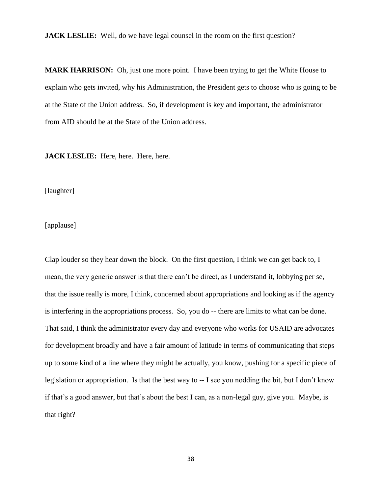**JACK LESLIE:** Well, do we have legal counsel in the room on the first question?

**MARK HARRISON:** Oh, just one more point. I have been trying to get the White House to explain who gets invited, why his Administration, the President gets to choose who is going to be at the State of the Union address. So, if development is key and important, the administrator from AID should be at the State of the Union address.

**JACK LESLIE:** Here, here. Here, here.

[laughter]

[applause]

Clap louder so they hear down the block. On the first question, I think we can get back to, I mean, the very generic answer is that there can't be direct, as I understand it, lobbying per se, that the issue really is more, I think, concerned about appropriations and looking as if the agency is interfering in the appropriations process. So, you do -- there are limits to what can be done. That said, I think the administrator every day and everyone who works for USAID are advocates for development broadly and have a fair amount of latitude in terms of communicating that steps up to some kind of a line where they might be actually, you know, pushing for a specific piece of legislation or appropriation. Is that the best way to -- I see you nodding the bit, but I don't know if that's a good answer, but that's about the best I can, as a non-legal guy, give you. Maybe, is that right?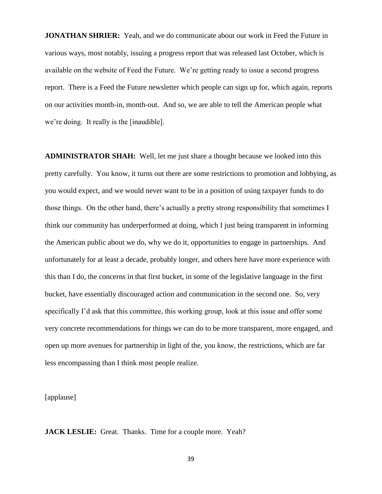**JONATHAN SHRIER:** Yeah, and we do communicate about our work in Feed the Future in various ways, most notably, issuing a progress report that was released last October, which is available on the website of Feed the Future. We're getting ready to issue a second progress report. There is a Feed the Future newsletter which people can sign up for, which again, reports on our activities month-in, month-out. And so, we are able to tell the American people what we're doing. It really is the [inaudible].

**ADMINISTRATOR SHAH:** Well, let me just share a thought because we looked into this pretty carefully. You know, it turns out there are some restrictions to promotion and lobbying, as you would expect, and we would never want to be in a position of using taxpayer funds to do those things. On the other hand, there's actually a pretty strong responsibility that sometimes I think our community has underperformed at doing, which I just being transparent in informing the American public about we do, why we do it, opportunities to engage in partnerships. And unfortunately for at least a decade, probably longer, and others here have more experience with this than I do, the concerns in that first bucket, in some of the legislative language in the first bucket, have essentially discouraged action and communication in the second one. So, very specifically I'd ask that this committee, this working group, look at this issue and offer some very concrete recommendations for things we can do to be more transparent, more engaged, and open up more avenues for partnership in light of the, you know, the restrictions, which are far less encompassing than I think most people realize.

#### [applause]

**JACK LESLIE:** Great. Thanks. Time for a couple more. Yeah?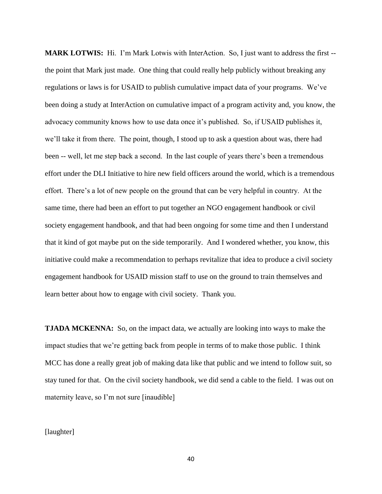**MARK LOTWIS:** Hi. I'm Mark Lotwis with InterAction. So, I just want to address the first - the point that Mark just made. One thing that could really help publicly without breaking any regulations or laws is for USAID to publish cumulative impact data of your programs. We've been doing a study at InterAction on cumulative impact of a program activity and, you know, the advocacy community knows how to use data once it's published. So, if USAID publishes it, we'll take it from there. The point, though, I stood up to ask a question about was, there had been -- well, let me step back a second. In the last couple of years there's been a tremendous effort under the DLI Initiative to hire new field officers around the world, which is a tremendous effort. There's a lot of new people on the ground that can be very helpful in country. At the same time, there had been an effort to put together an NGO engagement handbook or civil society engagement handbook, and that had been ongoing for some time and then I understand that it kind of got maybe put on the side temporarily. And I wondered whether, you know, this initiative could make a recommendation to perhaps revitalize that idea to produce a civil society engagement handbook for USAID mission staff to use on the ground to train themselves and learn better about how to engage with civil society. Thank you.

**TJADA MCKENNA:** So, on the impact data, we actually are looking into ways to make the impact studies that we're getting back from people in terms of to make those public. I think MCC has done a really great job of making data like that public and we intend to follow suit, so stay tuned for that. On the civil society handbook, we did send a cable to the field. I was out on maternity leave, so I'm not sure [inaudible]

[laughter]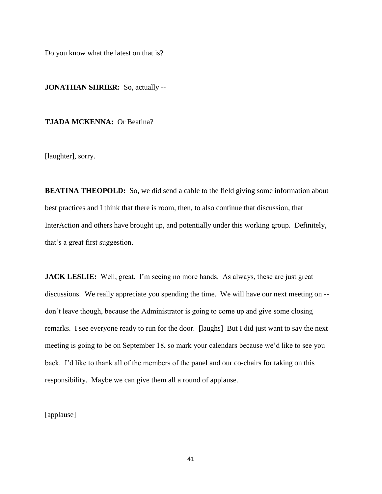Do you know what the latest on that is?

**JONATHAN SHRIER:** So, actually --

**TJADA MCKENNA:** Or Beatina?

[laughter], sorry.

**BEATINA THEOPOLD:** So, we did send a cable to the field giving some information about best practices and I think that there is room, then, to also continue that discussion, that InterAction and others have brought up, and potentially under this working group. Definitely, that's a great first suggestion.

**JACK LESLIE:** Well, great. I'm seeing no more hands. As always, these are just great discussions. We really appreciate you spending the time. We will have our next meeting on - don't leave though, because the Administrator is going to come up and give some closing remarks. I see everyone ready to run for the door. [laughs] But I did just want to say the next meeting is going to be on September 18, so mark your calendars because we'd like to see you back. I'd like to thank all of the members of the panel and our co-chairs for taking on this responsibility. Maybe we can give them all a round of applause.

[applause]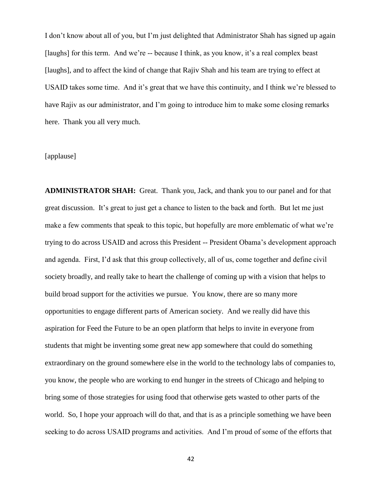I don't know about all of you, but I'm just delighted that Administrator Shah has signed up again [laughs] for this term. And we're -- because I think, as you know, it's a real complex beast [laughs], and to affect the kind of change that Rajiv Shah and his team are trying to effect at USAID takes some time. And it's great that we have this continuity, and I think we're blessed to have Rajiv as our administrator, and I'm going to introduce him to make some closing remarks here. Thank you all very much.

### [applause]

**ADMINISTRATOR SHAH:** Great. Thank you, Jack, and thank you to our panel and for that great discussion. It's great to just get a chance to listen to the back and forth. But let me just make a few comments that speak to this topic, but hopefully are more emblematic of what we're trying to do across USAID and across this President -- President Obama's development approach and agenda. First, I'd ask that this group collectively, all of us, come together and define civil society broadly, and really take to heart the challenge of coming up with a vision that helps to build broad support for the activities we pursue. You know, there are so many more opportunities to engage different parts of American society. And we really did have this aspiration for Feed the Future to be an open platform that helps to invite in everyone from students that might be inventing some great new app somewhere that could do something extraordinary on the ground somewhere else in the world to the technology labs of companies to, you know, the people who are working to end hunger in the streets of Chicago and helping to bring some of those strategies for using food that otherwise gets wasted to other parts of the world. So, I hope your approach will do that, and that is as a principle something we have been seeking to do across USAID programs and activities. And I'm proud of some of the efforts that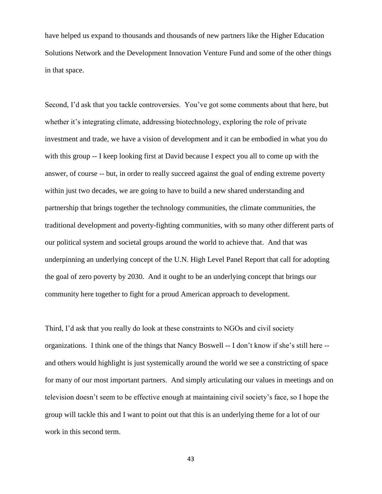have helped us expand to thousands and thousands of new partners like the Higher Education Solutions Network and the Development Innovation Venture Fund and some of the other things in that space.

Second, I'd ask that you tackle controversies. You've got some comments about that here, but whether it's integrating climate, addressing biotechnology, exploring the role of private investment and trade, we have a vision of development and it can be embodied in what you do with this group -- I keep looking first at David because I expect you all to come up with the answer, of course -- but, in order to really succeed against the goal of ending extreme poverty within just two decades, we are going to have to build a new shared understanding and partnership that brings together the technology communities, the climate communities, the traditional development and poverty-fighting communities, with so many other different parts of our political system and societal groups around the world to achieve that. And that was underpinning an underlying concept of the U.N. High Level Panel Report that call for adopting the goal of zero poverty by 2030. And it ought to be an underlying concept that brings our community here together to fight for a proud American approach to development.

Third, I'd ask that you really do look at these constraints to NGOs and civil society organizations. I think one of the things that Nancy Boswell -- I don't know if she's still here - and others would highlight is just systemically around the world we see a constricting of space for many of our most important partners. And simply articulating our values in meetings and on television doesn't seem to be effective enough at maintaining civil society's face, so I hope the group will tackle this and I want to point out that this is an underlying theme for a lot of our work in this second term.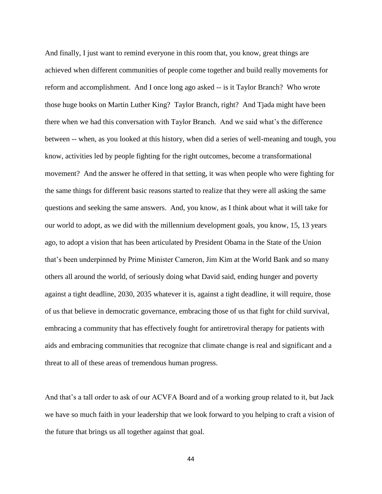And finally, I just want to remind everyone in this room that, you know, great things are achieved when different communities of people come together and build really movements for reform and accomplishment. And I once long ago asked -- is it Taylor Branch? Who wrote those huge books on Martin Luther King? Taylor Branch, right? And Tjada might have been there when we had this conversation with Taylor Branch. And we said what's the difference between -- when, as you looked at this history, when did a series of well-meaning and tough, you know, activities led by people fighting for the right outcomes, become a transformational movement? And the answer he offered in that setting, it was when people who were fighting for the same things for different basic reasons started to realize that they were all asking the same questions and seeking the same answers. And, you know, as I think about what it will take for our world to adopt, as we did with the millennium development goals, you know, 15, 13 years ago, to adopt a vision that has been articulated by President Obama in the State of the Union that's been underpinned by Prime Minister Cameron, Jim Kim at the World Bank and so many others all around the world, of seriously doing what David said, ending hunger and poverty against a tight deadline, 2030, 2035 whatever it is, against a tight deadline, it will require, those of us that believe in democratic governance, embracing those of us that fight for child survival, embracing a community that has effectively fought for antiretroviral therapy for patients with aids and embracing communities that recognize that climate change is real and significant and a threat to all of these areas of tremendous human progress.

And that's a tall order to ask of our ACVFA Board and of a working group related to it, but Jack we have so much faith in your leadership that we look forward to you helping to craft a vision of the future that brings us all together against that goal.